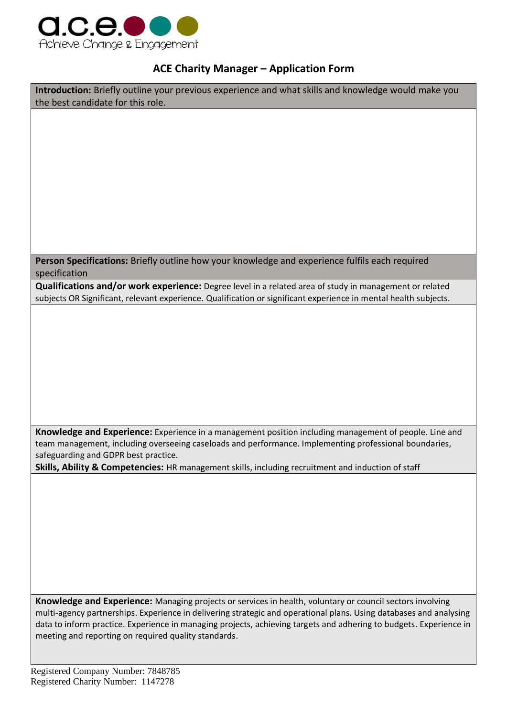

## **ACE Charity Manager – Application Form**

**Introduction:** Briefly outline your previous experience and what skills and knowledge would make you the best candidate for this role.

**Person Specifications:** Briefly outline how your knowledge and experience fulfils each required specification

**Qualifications and/or work experience:** Degree level in a related area of study in management or related subjects OR Significant, relevant experience. Qualification or significant experience in mental health subjects.

**Knowledge and Experience:** Experience in a management position including management of people. Line and team management, including overseeing caseloads and performance. Implementing professional boundaries, safeguarding and GDPR best practice.

**Skills, Ability & Competencies:** HR management skills, including recruitment and induction of staff

**Knowledge and Experience:** Managing projects or services in health, voluntary or council sectors involving multi-agency partnerships. Experience in delivering strategic and operational plans. Using databases and analysing data to inform practice. Experience in managing projects, achieving targets and adhering to budgets. Experience in meeting and reporting on required quality standards.